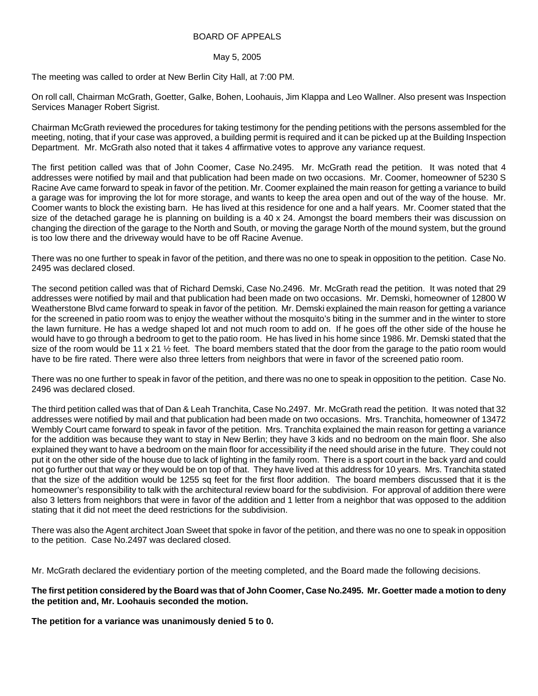## BOARD OF APPEALS

## May 5, 2005

The meeting was called to order at New Berlin City Hall, at 7:00 PM.

On roll call, Chairman McGrath, Goetter, Galke, Bohen, Loohauis, Jim Klappa and Leo Wallner. Also present was Inspection Services Manager Robert Sigrist.

Chairman McGrath reviewed the procedures for taking testimony for the pending petitions with the persons assembled for the meeting, noting, that if your case was approved, a building permit is required and it can be picked up at the Building Inspection Department. Mr. McGrath also noted that it takes 4 affirmative votes to approve any variance request.

The first petition called was that of John Coomer, Case No.2495. Mr. McGrath read the petition. It was noted that 4 addresses were notified by mail and that publication had been made on two occasions. Mr. Coomer, homeowner of 5230 S Racine Ave came forward to speak in favor of the petition. Mr. Coomer explained the main reason for getting a variance to build a garage was for improving the lot for more storage, and wants to keep the area open and out of the way of the house. Mr. Coomer wants to block the existing barn. He has lived at this residence for one and a half years. Mr. Coomer stated that the size of the detached garage he is planning on building is a 40 x 24. Amongst the board members their was discussion on changing the direction of the garage to the North and South, or moving the garage North of the mound system, but the ground is too low there and the driveway would have to be off Racine Avenue.

There was no one further to speak in favor of the petition, and there was no one to speak in opposition to the petition. Case No. 2495 was declared closed.

The second petition called was that of Richard Demski, Case No.2496. Mr. McGrath read the petition. It was noted that 29 addresses were notified by mail and that publication had been made on two occasions. Mr. Demski, homeowner of 12800 W Weatherstone Blvd came forward to speak in favor of the petition. Mr. Demski explained the main reason for getting a variance for the screened in patio room was to enjoy the weather without the mosquito's biting in the summer and in the winter to store the lawn furniture. He has a wedge shaped lot and not much room to add on. If he goes off the other side of the house he would have to go through a bedroom to get to the patio room. He has lived in his home since 1986. Mr. Demski stated that the size of the room would be 11 x 21  $\frac{1}{2}$  feet. The board members stated that the door from the garage to the patio room would have to be fire rated. There were also three letters from neighbors that were in favor of the screened patio room.

There was no one further to speak in favor of the petition, and there was no one to speak in opposition to the petition. Case No. 2496 was declared closed.

The third petition called was that of Dan & Leah Tranchita, Case No.2497. Mr. McGrath read the petition. It was noted that 32 addresses were notified by mail and that publication had been made on two occasions. Mrs. Tranchita, homeowner of 13472 Wembly Court came forward to speak in favor of the petition. Mrs. Tranchita explained the main reason for getting a variance for the addition was because they want to stay in New Berlin; they have 3 kids and no bedroom on the main floor. She also explained they want to have a bedroom on the main floor for accessibility if the need should arise in the future. They could not put it on the other side of the house due to lack of lighting in the family room. There is a sport court in the back yard and could not go further out that way or they would be on top of that. They have lived at this address for 10 years. Mrs. Tranchita stated that the size of the addition would be 1255 sq feet for the first floor addition. The board members discussed that it is the homeowner's responsibility to talk with the architectural review board for the subdivision. For approval of addition there were also 3 letters from neighbors that were in favor of the addition and 1 letter from a neighbor that was opposed to the addition stating that it did not meet the deed restrictions for the subdivision.

There was also the Agent architect Joan Sweet that spoke in favor of the petition, and there was no one to speak in opposition to the petition. Case No.2497 was declared closed.

Mr. McGrath declared the evidentiary portion of the meeting completed, and the Board made the following decisions.

## **The first petition considered by the Board was that of John Coomer, Case No.2495. Mr. Goetter made a motion to deny the petition and, Mr. Loohauis seconded the motion.**

**The petition for a variance was unanimously denied 5 to 0.**